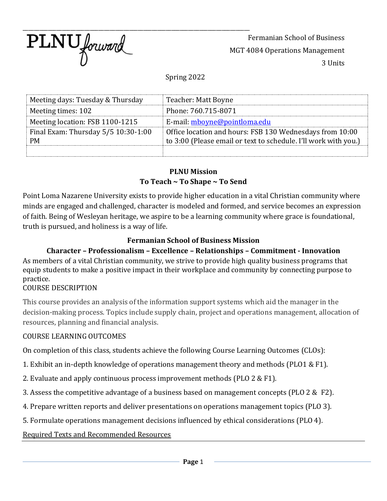

Fermanian School of Business MGT 4084 Operations Management 3 Units

Spring 2022

| Meeting days: Tuesday & Thursday    | Teacher: Matt Boyne                                             |
|-------------------------------------|-----------------------------------------------------------------|
| Meeting times: 102                  | Phone: 760.715-8071                                             |
| Meeting location: FSB 1100-1215     | E-mail: mboyne@pointloma.edu                                    |
| Final Exam: Thursday 5/5 10:30-1:00 | Office location and hours: FSB 130 Wednesdays from 10:00        |
| <b>PM</b>                           | to 3:00 (Please email or text to schedule. I'll work with you.) |
|                                     |                                                                 |

#### **PLNU Mission To Teach ~ To Shape ~ To Send**

Point Loma Nazarene University exists to provide higher education in a vital Christian community where minds are engaged and challenged, character is modeled and formed, and service becomes an expression of faith. Being of Wesleyan heritage, we aspire to be a learning community where grace is foundational, truth is pursued, and holiness is a way of life.

### **Fermanian School of Business Mission**

**Character – Professionalism – Excellence – Relationships – Commitment - Innovation** As members of a vital Christian community, we strive to provide high quality business programs that equip students to make a positive impact in their workplace and community by connecting purpose to practice.

#### COURSE DESCRIPTION

This course provides an analysis of the information support systems which aid the manager in the decision-making process. Topics include supply chain, project and operations management, allocation of resources, planning and financial analysis.

### COURSE LEARNING OUTCOMES

On completion of this class, students achieve the following Course Learning Outcomes (CLOs):

- 1. Exhibit an in-depth knowledge of operations management theory and methods (PLO1 & F1).
- 2. Evaluate and apply continuous process improvement methods (PLO 2 & F1).
- 3. Assess the competitive advantage of a business based on management concepts (PLO 2 & F2).
- 4. Prepare written reports and deliver presentations on operations management topics (PLO 3).
- 5. Formulate operations management decisions influenced by ethical considerations (PLO 4).

### Required Texts and Recommended Resources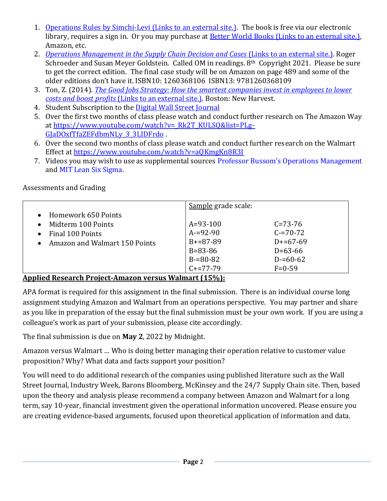- 1. [Operations Rules by Simchi-Levi](https://ebookcentral-proquest-com.pointloma.idm.oclc.org/lib/pointloma-ebooks/detail.action?docID=3339161) (Links to an external site.). The book is free via our electronic library, requires a sign in. Or you may purchase at **Better World Books (Links to an external site.)**, Amazon, etc.
- 2. *[Operations Management in the Supply Chain Decision and Cases](https://www.mheducation.com/highered/product/operations-management-supply-chain-decisions-cases-schroeder-goldstein/M9781260368109.html)* (Links to an external site.). Roger Schroeder and Susan Meyer Goldstein. Called OM in readings. 8th Copyright 2021. Please be sure to get the correct edition. The final case study will be on Amazon on page 489 and some of the older editions don't have it. ISBN10: 1260368106 ISBN13: 9781260368109
- 3. Ton, Z. (2014). *[The Good Jobs Strategy: How the smartest companies invest in employees to lower](https://www.zeynepton.com/book/)  costs and boost profits* [\(Links to an external site.\).](https://www.zeynepton.com/book/) Boston: New Harvest.
- 4. Student Subscription to the Digital Wall Street Journal
- 5. Over the first two months of class please watch and conduct further research on The Amazon Way at [https://www.youtube.com/watch?v=\\_Rk2T\\_KULSQ&list=PLg-](https://www.youtube.com/watch?v=_Rk2T_KULSQ&list=PLg-GJaDOxfTfaZEFdbmNLy_3_3LIDFrdo)GJaDOxfTfaZEFdbmNLy 3 3LIDFrdo .
- 6. Over the second two months of class please watch and conduct further research on the Walmart Effect a[t https://www.youtube.com/watch?v=aQKmgKn8R3I](https://www.youtube.com/watch?v=aQKmgKn8R3I)
- 7. Videos you may wish to use as supplemental sources [Professor Bussom's Operations Management](https://www.youtube.com/channel/UCocNOUZ5B1xToXCihKIoX7g/playlists) and [MIT Lean Six Sigma.](https://ocw.mit.edu/courses/aeronautics-and-astronautics/16-660j-introduction-to-lean-six-sigma-methods-january-iap-2012/lecture-videos/)

|                                 | Sample grade scale: |               |
|---------------------------------|---------------------|---------------|
| • Homework 650 Points           |                     |               |
| Midterm 100 Points<br>$\bullet$ | $A = 93 - 100$      | $C = 73 - 76$ |
| Final 100 Points<br>$\bullet$   | $A = 92 - 90$       | $C = 70 - 72$ |
| Amazon and Walmart 150 Points   | $B+=87-89$          | $D+=67-69$    |
|                                 | $B = 83 - 86$       | $D=63-66$     |
|                                 | $B = 80 - 82$       | $D = 60 - 62$ |
|                                 | $C+=77-79$          | $F = 0.59$    |
|                                 |                     |               |

Assessments and Grading

### **Applied Research Project-Amazon versus Walmart (15%):**

APA format is required for this assignment in the final submission. There is an individual course long assignment studying Amazon and Walmart from an operations perspective. You may partner and share as you like in preparation of the essay but the final submission must be your own work. If you are using a colleague's work as part of your submission, please cite accordingly.

The final submission is due on **May 2**, 2022 by Midnight.

Amazon versus Walmart … Who is doing better managing their operation relative to customer value proposition? Why? What data and facts support your position?

You will need to do additional research of the companies using published literature such as the Wall Street Journal, Industry Week, Barons Bloomberg, McKinsey and the 24/7 Supply Chain site. Then, based upon the theory and analysis please recommend a company between Amazon and Walmart for a long term, say 10-year, financial investment given the operational information uncovered. Please ensure you are creating evidence-based arguments, focused upon theoretical application of information and data.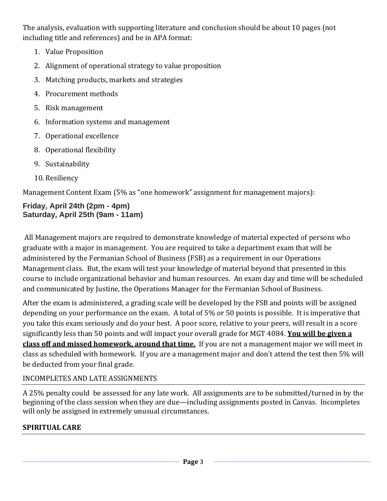The analysis, evaluation with supporting literature and conclusion should be about 10 pages (not including title and references) and be in APA format:

- 1. Value Proposition
- 2. Alignment of operational strategy to value proposition
- 3. Matching products, markets and strategies
- 4. Procurement methods
- 5. Risk management
- 6. Information systems and management
- 7. Operational excellence
- 8. Operational flexibility
- 9. Sustainability
- 10. Resiliency

Management Content Exam (5% as "one homework" assignment for management majors):

## **Friday, April 24th (2pm - 4pm) Saturday, April 25th (9am - 11am)**

All Management majors are required to demonstrate knowledge of material expected of persons who graduate with a major in management. You are required to take a department exam that will be administered by the Fermanian School of Business (FSB) as a requirement in our Operations Management class. But, the exam will test your knowledge of material beyond that presented in this course to include organizational behavior and human resources. An exam day and time will be scheduled and communicated by Justine, the Operations Manager for the Fermanian School of Business.

After the exam is administered, a grading scale will be developed by the FSB and points will be assigned depending on your performance on the exam. A total of 5% or 50 points is possible. It is imperative that you take this exam seriously and do your best. A poor score, relative to your peers, will result in a score significantly less than 50 points and will impact your overall grade for MGT 4084. **You will be given a class off and missed homework, around that time.** If you are not a management major we will meet in class as scheduled with homework. If you are a management major and don't attend the test then 5% will be deducted from your final grade.

# INCOMPLETES AND LATE ASSIGNMENTS

A 25% penalty could be assessed for any late work. All assignments are to be submitted/turned in by the beginning of the class session when they are due—including assignments posted in Canvas. Incompletes will only be assigned in extremely unusual circumstances.

# **SPIRITUAL CARE**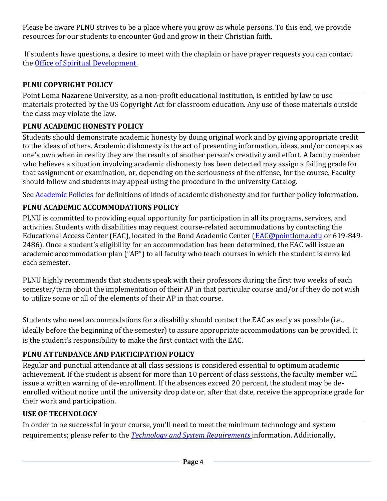Please be aware PLNU strives to be a place where you grow as whole persons. To this end, we provide resources for our students to encounter God and grow in their Christian faith.

If students have questions, a desire to meet with the chaplain or have prayer requests you can contact the [Office of Spiritual Development](https://www.pointloma.edu/offices/spiritual-development)

## **PLNU COPYRIGHT POLICY**

Point Loma Nazarene University, as a non-profit educational institution, is entitled by law to use materials protected by the US Copyright Act for classroom education. Any use of those materials outside the class may violate the law.

## **PLNU ACADEMIC HONESTY POLICY**

Students should demonstrate academic honesty by doing original work and by giving appropriate credit to the ideas of others. Academic dishonesty is the act of presenting information, ideas, and/or concepts as one's own when in reality they are the results of another person's creativity and effort. A faculty member who believes a situation involving academic dishonesty has been detected may assign a failing grade for that assignment or examination, or, depending on the seriousness of the offense, for the course. Faculty should follow and students may appeal using the procedure in the university Catalog.

See [Academic Policies](https://catalog.pointloma.edu/content.php?catoid=52&navoid=2919#Academic_Honesty) for definitions of kinds of academic dishonesty and for further policy information.

## **PLNU ACADEMIC ACCOMMODATIONS POLICY**

PLNU is committed to providing equal opportunity for participation in all its programs, services, and activities. Students with disabilities may request course-related accommodations by contacting the Educational Access Center (EAC), located in the Bond Academic Center [\(EAC@pointloma.edu](mailto:EAC@pointloma.edu) or 619-849-2486). Once a student's eligibility for an accommodation has been determined, the EAC will issue an academic accommodation plan ("AP") to all faculty who teach courses in which the student is enrolled each semester.

PLNU highly recommends that students speak with their professors during the first two weeks of each semester/term about the implementation of their AP in that particular course and/or if they do not wish to utilize some or all of the elements of their AP in that course.

Students who need accommodations for a disability should contact the EAC as early as possible (i.e., ideally before the beginning of the semester) to assure appropriate accommodations can be provided. It is the student's responsibility to make the first contact with the EAC.

## **PLNU ATTENDANCE AND PARTICIPATION POLICY**

Regular and punctual attendance at all class sessions is considered essential to optimum academic achievement. If the student is absent for more than 10 percent of class sessions, the faculty member will issue a written warning of de-enrollment. If the absences exceed 20 percent, the student may be deenrolled without notice until the university drop date or, after that date, receive the appropriate grade for their work and participation.

## **USE OF TECHNOLOGY**

In order to be successful in your course, you'll need to meet the minimum technology and system requirements; please refer to the *[Technology and System Requirements](https://help.pointloma.edu/TDClient/1808/Portal/KB/ArticleDet?ID=108349)* information. Additionally,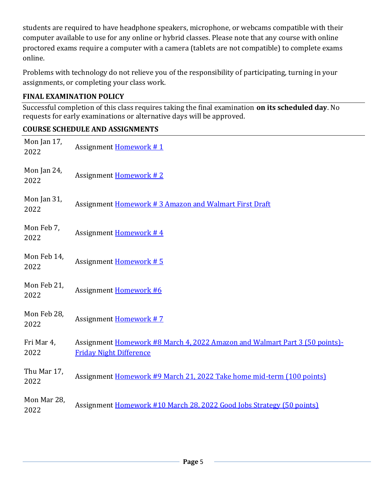students are required to have headphone speakers, microphone, or webcams compatible with their computer available to use for any online or hybrid classes. Please note that any course with online proctored exams require a computer with a camera (tablets are not compatible) to complete exams online.

Problems with technology do not relieve you of the responsibility of participating, turning in your assignments, or completing your class work.

### **FINAL EXAMINATION POLICY**

Successful completion of this class requires taking the final examination **on its scheduled day**. No requests for early examinations or alternative days will be approved.

### **COURSE SCHEDULE AND ASSIGNMENTS**

| Mon Jan 17,<br>2022 | Assignment Homework #1                                                                                        |
|---------------------|---------------------------------------------------------------------------------------------------------------|
| Mon Jan 24,<br>2022 | Assignment Homework #2                                                                                        |
| Mon Jan 31,<br>2022 | Assignment Homework #3 Amazon and Walmart First Draft                                                         |
| Mon Feb 7,<br>2022  | Assignment Homework #4                                                                                        |
| Mon Feb 14,<br>2022 | Assignment Homework #5                                                                                        |
| Mon Feb 21,<br>2022 | Assignment Homework #6                                                                                        |
| Mon Feb 28,<br>2022 | <b>Assignment Homework #7</b>                                                                                 |
| Fri Mar 4,<br>2022  | Assignment Homework #8 March 4, 2022 Amazon and Walmart Part 3 (50 points)-<br><b>Friday Night Difference</b> |
| Thu Mar 17,<br>2022 | Assignment Homework #9 March 21, 2022 Take home mid-term (100 points)                                         |
| Mon Mar 28,<br>2022 | Assignment Homework #10 March 28, 2022 Good Jobs Strategy (50 points)                                         |